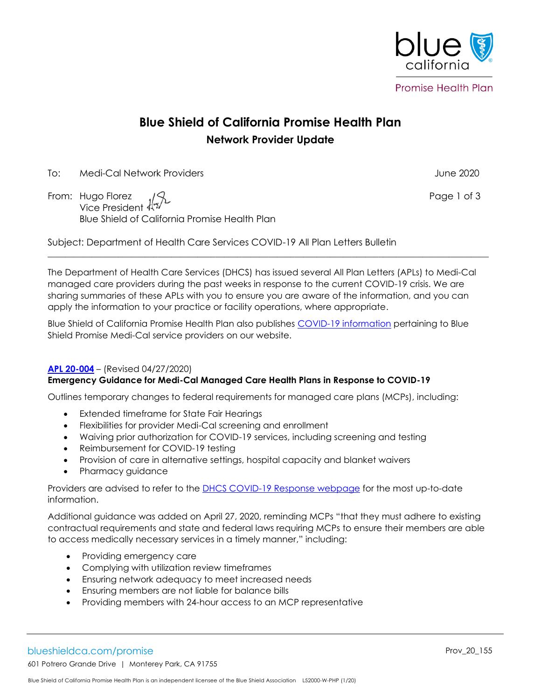

# **Blue Shield of California Promise Health Plan Network Provider Update**

To: Medi-Cal Network Providers June 2020

From: Hugo Florez  $\sqrt{3}$  , the set of 3 set of 3 set of 3 set of 3 set of 3 set of 3 set of 3 set of 3 set of 3 set of 3 set of 3 set of 3 set of 3 set of 3 set of 3 set of 3 set of 3 set of 3 set of 3 set of 3 set of 3 Vice President Blue Shield of California Promise Health Plan

Subject: Department of Health Care Services COVID-19 All Plan Letters Bulletin

The Department of Health Care Services (DHCS) has issued several All Plan Letters (APLs) to Medi-Cal managed care providers during the past weeks in response to the current COVID-19 crisis. We are sharing summaries of these APLs with you to ensure you are aware of the information, and you can apply the information to your practice or facility operations, where appropriate.

 $\mathcal{L}_\mathcal{L} = \{ \mathcal{L}_\mathcal{L}, \mathcal{L}_\mathcal{L}, \mathcal{L}_\mathcal{L}, \mathcal{L}_\mathcal{L}, \mathcal{L}_\mathcal{L}, \mathcal{L}_\mathcal{L}, \mathcal{L}_\mathcal{L}, \mathcal{L}_\mathcal{L}, \mathcal{L}_\mathcal{L}, \mathcal{L}_\mathcal{L}, \mathcal{L}_\mathcal{L}, \mathcal{L}_\mathcal{L}, \mathcal{L}_\mathcal{L}, \mathcal{L}_\mathcal{L}, \mathcal{L}_\mathcal{L}, \mathcal{L}_\mathcal{L}, \mathcal{L}_\mathcal{L}, \$ 

Blue Shield of California Promise Health Plan also publishes [COVID-19 information](https://www.blueshieldca.com/bsca/bsc/wcm/connect/provider/provider_content_en/guidelines_resources/COVID-19-network-providers-info) pertaining to Blue Shield Promise Medi-Cal service providers on our website.

### **[APL 20-004](https://www.dhcs.ca.gov/formsandpubs/Documents/MMCDAPLsandPolicyLetters/APL2020/APL20-004.pdf)** – (Revised 04/27/2020)

## **Emergency Guidance for Medi-Cal Managed Care Health Plans in Response to COVID-19**

Outlines temporary changes to federal requirements for managed care plans (MCPs), including:

- Extended timeframe for State Fair Hearings
- Flexibilities for provider Medi-Cal screening and enrollment
- Waiving prior authorization for COVID-19 services, including screening and testing
- Reimbursement for COVID-19 testing
- Provision of care in alternative settings, hospital capacity and blanket waivers
- Pharmacy guidance

Providers are advised to refer to the [DHCS COVID-19 Response webpage](https://www.dhcs.ca.gov/Pages/DHCS-COVID%E2%80%9119-Response.aspx) for the most up-to-date information.

Additional guidance was added on April 27, 2020, reminding MCPs "that they must adhere to existing contractual requirements and state and federal laws requiring MCPs to ensure their members are able to access medically necessary services in a timely manner," including:

- Providing emergency care
- Complying with utilization review timeframes
- Ensuring network adequacy to meet increased needs
- Ensuring members are not liable for balance bills
- Providing members with 24-hour access to an MCP representative

blueshieldca.com/promise Provadiation of the entries of the entries of the entries of the entries of the entries  $\sim$  Prov $\sim$ 20\_155

601 Potrero Grande Drive | Monterey Park, CA 91755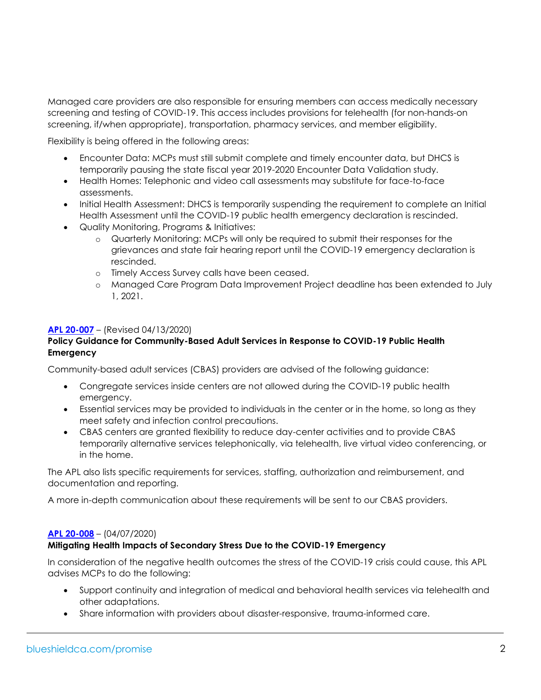Managed care providers are also responsible for ensuring members can access medically necessary screening and testing of COVID-19. This access includes provisions for telehealth (for non-hands-on screening, if/when appropriate), transportation, pharmacy services, and member eligibility.

Flexibility is being offered in the following areas:

- Encounter Data: MCPs must still submit complete and timely encounter data, but DHCS is temporarily pausing the state fiscal year 2019-2020 Encounter Data Validation study.
- Health Homes: Telephonic and video call assessments may substitute for face-to-face assessments.
- Initial Health Assessment: DHCS is temporarily suspending the requirement to complete an Initial Health Assessment until the COVID-19 public health emergency declaration is rescinded.
- Quality Monitoring, Programs & Initiatives:
	- o Quarterly Monitoring: MCPs will only be required to submit their responses for the grievances and state fair hearing report until the COVID-19 emergency declaration is rescinded.
	- o Timely Access Survey calls have been ceased.
	- o Managed Care Program Data Improvement Project deadline has been extended to July 1, 2021.

### **[APL 20-007](https://www.dhcs.ca.gov/formsandpubs/Documents/MMCDAPLsandPolicyLetters/APL2020/APL20-007.pdf)** – (Revised 04/13/2020)

## **Policy Guidance for Community-Based Adult Services in Response to COVID-19 Public Health Emergency**

Community-based adult services (CBAS) providers are advised of the following guidance:

- Congregate services inside centers are not allowed during the COVID-19 public health emergency.
- Essential services may be provided to individuals in the center or in the home, so long as they meet safety and infection control precautions.
- CBAS centers are granted flexibility to reduce day-center activities and to provide CBAS temporarily alternative services telephonically, via telehealth, live virtual video conferencing, or in the home.

The APL also lists specific requirements for services, staffing, authorization and reimbursement, and documentation and reporting.

A more in-depth communication about these requirements will be sent to our CBAS providers.

### **[APL 20-008](https://www.dhcs.ca.gov/formsandpubs/Documents/MMCDAPLsandPolicyLetters/APL2020/APL20-008.pdf)** – (04/07/2020)

### **Mitigating Health Impacts of Secondary Stress Due to the COVID-19 Emergency**

In consideration of the negative health outcomes the stress of the COVID-19 crisis could cause, this APL advises MCPs to do the following:

- Support continuity and integration of medical and behavioral health services via telehealth and other adaptations.
- Share information with providers about disaster-responsive, trauma-informed care.